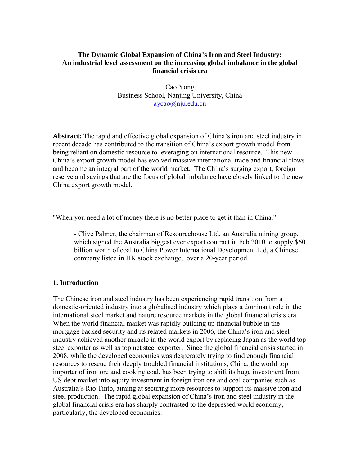### **The Dynamic Global Expansion of China's Iron and Steel Industry: An industrial level assessment on the increasing global imbalance in the global financial crisis era**

Cao Yong Business School, Nanjing University, China aycao@nju.edu.cn

**Abstract:** The rapid and effective global expansion of China's iron and steel industry in recent decade has contributed to the transition of China's export growth model from being reliant on domestic resource to leveraging on international resource. This new China's export growth model has evolved massive international trade and financial flows and become an integral part of the world market. The China's surging export, foreign reserve and savings that are the focus of global imbalance have closely linked to the new China export growth model.

"When you need a lot of money there is no better place to get it than in China."

- Clive Palmer, the chairman of Resourcehouse Ltd, an Australia mining group, which signed the Australia biggest ever export contract in Feb 2010 to supply \$60 billion worth of coal to China Power International Development Ltd, a Chinese company listed in HK stock exchange, over a 20-year period.

### **1. Introduction**

The Chinese iron and steel industry has been experiencing rapid transition from a domestic-oriented industry into a globalised industry which plays a dominant role in the international steel market and nature resource markets in the global financial crisis era. When the world financial market was rapidly building up financial bubble in the mortgage backed security and its related markets in 2006, the China's iron and steel industry achieved another miracle in the world export by replacing Japan as the world top steel exporter as well as top net steel exporter. Since the global financial crisis started in 2008, while the developed economies was desperately trying to find enough financial resources to rescue their deeply troubled financial institutions, China, the world top importer of iron ore and cooking coal, has been trying to shift its huge investment from US debt market into equity investment in foreign iron ore and coal companies such as Australia's Rio Tinto, aiming at securing more resources to support its massive iron and steel production. The rapid global expansion of China's iron and steel industry in the global financial crisis era has sharply contrasted to the depressed world economy, particularly, the developed economies.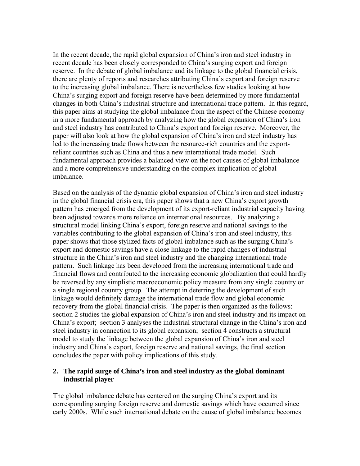In the recent decade, the rapid global expansion of China's iron and steel industry in recent decade has been closely corresponded to China's surging export and foreign reserve. In the debate of global imbalance and its linkage to the global financial crisis, there are plenty of reports and researches attributing China's export and foreign reserve to the increasing global imbalance. There is nevertheless few studies looking at how China's surging export and foreign reserve have been determined by more fundamental changes in both China's industrial structure and international trade pattern. In this regard, this paper aims at studying the global imbalance from the aspect of the Chinese economy in a more fundamental approach by analyzing how the global expansion of China's iron and steel industry has contributed to China's export and foreign reserve. Moreover, the paper will also look at how the global expansion of China's iron and steel industry has led to the increasing trade flows between the resource-rich countries and the exportreliant countries such as China and thus a new international trade model. Such fundamental approach provides a balanced view on the root causes of global imbalance and a more comprehensive understanding on the complex implication of global imbalance.

Based on the analysis of the dynamic global expansion of China's iron and steel industry in the global financial crisis era, this paper shows that a new China's export growth pattern has emerged from the development of its export-reliant industrial capacity having been adjusted towards more reliance on international resources. By analyzing a structural model linking China's export, foreign reserve and national savings to the variables contributing to the global expansion of China's iron and steel industry, this paper shows that those stylized facts of global imbalance such as the surging China's export and domestic savings have a close linkage to the rapid changes of industrial structure in the China's iron and steel industry and the changing international trade pattern. Such linkage has been developed from the increasing international trade and financial flows and contributed to the increasing economic globalization that could hardly be reversed by any simplistic macroeconomic policy measure from any single country or a single regional country group. The attempt in deterring the development of such linkage would definitely damage the international trade flow and global economic recovery from the global financial crisis. The paper is then organized as the follows: section 2 studies the global expansion of China's iron and steel industry and its impact on China's export; section 3 analyses the industrial structural change in the China's iron and steel industry in connection to its global expansion; section 4 constructs a structural model to study the linkage between the global expansion of China's iron and steel industry and China's export, foreign reserve and national savings, the final section concludes the paper with policy implications of this study.

### **2. The rapid surge of China's iron and steel industry as the global dominant industrial player**

The global imbalance debate has centered on the surging China's export and its corresponding surging foreign reserve and domestic savings which have occurred since early 2000s. While such international debate on the cause of global imbalance becomes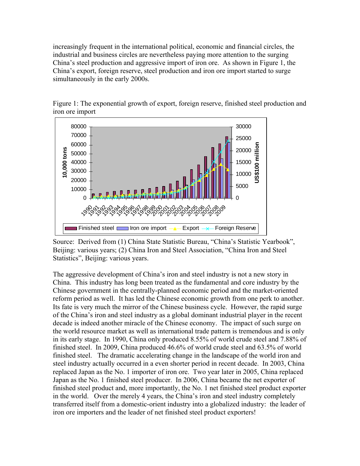increasingly frequent in the international political, economic and financial circles, the industrial and business circles are nevertheless paying more attention to the surging China's steel production and aggressive import of iron ore. As shown in Figure 1, the China's export, foreign reserve, steel production and iron ore import started to surge simultaneously in the early 2000s.



Figure 1: The exponential growth of export, foreign reserve, finished steel production and iron ore import

Source: Derived from (1) China State Statistic Bureau, "China's Statistic Yearbook", Beijing: various years; (2) China Iron and Steel Association, "China Iron and Steel Statistics", Beijing: various years.

The aggressive development of China's iron and steel industry is not a new story in China. This industry has long been treated as the fundamental and core industry by the Chinese government in the centrally-planned economic period and the market-oriented reform period as well. It has led the Chinese economic growth from one perk to another. Its fate is very much the mirror of the Chinese business cycle. However, the rapid surge of the China's iron and steel industry as a global dominant industrial player in the recent decade is indeed another miracle of the Chinese economy. The impact of such surge on the world resource market as well as international trade pattern is tremendous and is only in its early stage. In 1990, China only produced 8.55% of world crude steel and 7.88% of finished steel. In 2009, China produced 46.6% of world crude steel and 63.5% of world finished steel. The dramatic accelerating change in the landscape of the world iron and steel industry actually occurred in a even shorter period in recent decade. In 2003, China replaced Japan as the No. 1 importer of iron ore. Two year later in 2005, China replaced Japan as the No. 1 finished steel producer. In 2006, China became the net exporter of finished steel product and, more importantly, the No. 1 net finished steel product exporter in the world. Over the merely 4 years, the China's iron and steel industry completely transferred itself from a domestic-orient industry into a globalized industry: the leader of iron ore importers and the leader of net finished steel product exporters!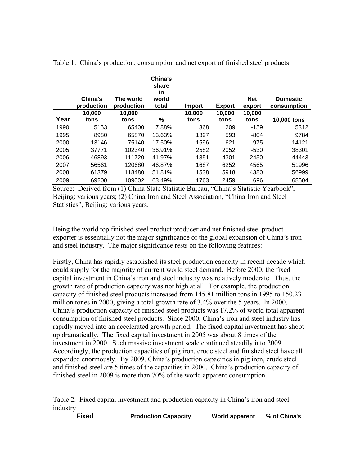|      | China's<br>production | The world<br>production | China's<br>share<br>in<br>world<br>total | Import | <b>Export</b> | <b>Net</b><br>export | <b>Domestic</b><br>consumption |
|------|-----------------------|-------------------------|------------------------------------------|--------|---------------|----------------------|--------------------------------|
|      | 10,000                | 10,000                  |                                          | 10,000 | 10,000        | 10,000               |                                |
| Year | tons                  | tons                    | %                                        | tons   | tons          | tons                 | 10,000 tons                    |
| 1990 | 5153                  | 65400                   | 7.88%                                    | 368    | 209           | $-159$               | 5312                           |
| 1995 | 8980                  | 65870                   | 13.63%                                   | 1397   | 593           | -804                 | 9784                           |
| 2000 | 13146                 | 75140                   | 17.50%                                   | 1596   | 621           | $-975$               | 14121                          |
| 2005 | 37771                 | 102340                  | 36.91%                                   | 2582   | 2052          | $-530$               | 38301                          |
| 2006 | 46893                 | 111720                  | 41.97%                                   | 1851   | 4301          | 2450                 | 44443                          |
| 2007 | 56561                 | 120680                  | 46.87%                                   | 1687   | 6252          | 4565                 | 51996                          |
| 2008 | 61379                 | 118480                  | 51.81%                                   | 1538   | 5918          | 4380                 | 56999                          |
| 2009 | 69200                 | 109002                  | 63.49%                                   | 1763   | 2459          | 696                  | 68504                          |

Table 1: China's production, consumption and net export of finished steel products

Source: Derived from (1) China State Statistic Bureau, "China's Statistic Yearbook", Beijing: various years; (2) China Iron and Steel Association, "China Iron and Steel Statistics", Beijing: various years.

Being the world top finished steel product producer and net finished steel product exporter is essentially not the major significance of the global expansion of China's iron and steel industry. The major significance rests on the following features:

Firstly, China has rapidly established its steel production capacity in recent decade which could supply for the majority of current world steel demand. Before 2000, the fixed capital investment in China's iron and steel industry was relatively moderate. Thus, the growth rate of production capacity was not high at all. For example, the production capacity of finished steel products increased from 145.81 million tons in 1995 to 150.23 million tones in 2000, giving a total growth rate of 3.4% over the 5 years. In 2000, China's production capacity of finished steel products was 17.2% of world total apparent consumption of finished steel products. Since 2000, China's iron and steel industry has rapidly moved into an accelerated growth period. The fixed capital investment has shoot up dramatically. The fixed capital investment in 2005 was about 8 times of the investment in 2000. Such massive investment scale continued steadily into 2009. Accordingly, the production capacities of pig iron, crude steel and finished steel have all expanded enormously. By 2009, China's production capacities in pig iron, crude steel and finished steel are 5 times of the capacities in 2000. China's production capacity of finished steel in 2009 is more than 70% of the world apparent consumption.

Table 2. Fixed capital investment and production capacity in China's iron and steel industry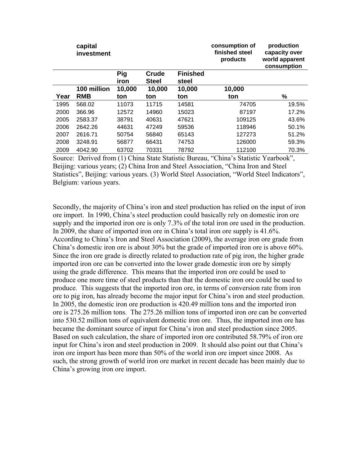|      | capital<br>investment |                    |                       |                          | consumption of<br>finished steel<br>products | production<br>capacity over<br>world apparent<br>consumption |
|------|-----------------------|--------------------|-----------------------|--------------------------|----------------------------------------------|--------------------------------------------------------------|
|      |                       | <b>Pig</b><br>iron | Crude<br><b>Steel</b> | <b>Finished</b><br>steel |                                              |                                                              |
|      | 100 million           | 10,000             | 10,000                | 10,000                   | 10,000                                       |                                                              |
| Year | <b>RMB</b>            | ton                | ton                   | ton                      | ton                                          | %                                                            |
| 1995 | 568.02                | 11073              | 11715                 | 14581                    | 74705                                        | 19.5%                                                        |
| 2000 | 366.96                | 12572              | 14960                 | 15023                    | 87197                                        | 17.2%                                                        |
| 2005 | 2583.37               | 38791              | 40631                 | 47621                    | 109125                                       | 43.6%                                                        |
| 2006 | 2642.26               | 44631              | 47249                 | 59536                    | 118946                                       | 50.1%                                                        |
| 2007 | 2616.71               | 50754              | 56840                 | 65143                    | 127273                                       | 51.2%                                                        |
| 2008 | 3248.91               | 56877              | 66431                 | 74753                    | 126000                                       | 59.3%                                                        |
| 2009 | 4042.90               | 63702              | 70331                 | 78792                    | 112100                                       | 70.3%                                                        |

Source: Derived from (1) China State Statistic Bureau, "China's Statistic Yearbook", Beijing: various years; (2) China Iron and Steel Association, "China Iron and Steel Statistics", Beijing: various years. (3) World Steel Association, "World Steel Indicators", Belgium: various years.

Secondly, the majority of China's iron and steel production has relied on the input of iron ore import. In 1990, China's steel production could basically rely on domestic iron ore supply and the imported iron ore is only 7.3% of the total iron ore used in the production. In 2009, the share of imported iron ore in China's total iron ore supply is 41.6%. According to China's Iron and Steel Association (2009), the average iron ore grade from China's domestic iron ore is about 30% but the grade of imported iron ore is above 60%. Since the iron ore grade is directly related to production rate of pig iron, the higher grade imported iron ore can be converted into the lower grade domestic iron ore by simply using the grade difference. This means that the imported iron ore could be used to produce one more time of steel products than that the domestic iron ore could be used to produce. This suggests that the imported iron ore, in terms of conversion rate from iron ore to pig iron, has already become the major input for China's iron and steel production. In 2005, the domestic iron ore production is 420.49 million tons and the imported iron ore is 275.26 million tons. The 275.26 million tons of imported iron ore can be converted into 530.52 million tons of equivalent domestic iron ore. Thus, the imported iron ore has became the dominant source of input for China's iron and steel production since 2005. Based on such calculation, the share of imported iron ore contributed 58.79% of iron ore input for China's iron and steel production in 2009. It should also point out that China's iron ore import has been more than 50% of the world iron ore import since 2008. As such, the strong growth of world iron ore market in recent decade has been mainly due to China's growing iron ore import.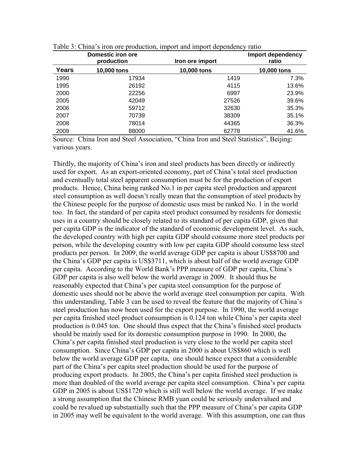|       | Domestic iron ore<br>production | Iron ore import | Import dependency<br>ratio |
|-------|---------------------------------|-----------------|----------------------------|
| Years | 10,000 tons                     | 10,000 tons     | 10,000 tons                |
| 1990  | 17934                           | 1419            | 7.3%                       |
| 1995  | 26192                           | 4115            | 13.6%                      |
| 2000  | 22256                           | 6997            | 23.9%                      |
| 2005  | 42049                           | 27526           | 39.6%                      |
| 2006  | 59712                           | 32630           | 35.3%                      |
| 2007  | 70739                           | 38309           | 35.1%                      |
| 2008  | 78014                           | 44365           | 36.3%                      |
| 2009  | 88000                           | 62778           | 41.6%                      |

Table 3: China's iron ore production, import and import dependency ratio

Source: China Iron and Steel Association, "China Iron and Steel Statistics", Beijing: various years.

Thirdly, the majority of China's iron and steel products has been directly or indirectly used for export. As an export-oriented economy, part of China's total steel production and eventually total steel apparent consumption must be for the production of export products. Hence, China being ranked No.1 in per capita steel production and apparent steel consumption as well doesn't really mean that the consumption of steel products by the Chinese people for the purpose of domestic uses must be ranked No. 1 in the world too. In fact, the standard of per capita steel product consumed by residents for domestic uses in a country should be closely related to its standard of per capita GDP, given that per capita GDP is the indicator of the standard of economic development level. As such, the developed country with high per capita GDP should consume more steel products per person, while the developing country with low per capita GDP should consume less steel products per person. In 2009, the world average GDP per capita is about US\$8700 and the China's GDP per capita is US\$3711, which is about half of the world average GDP per capita. According to the World Bank's PPP measure of GDP per capita, China's GDP per capita is also well below the world average in 2009. It should thus be reasonably expected that China's per capita steel consumption for the purpose of domestic uses should not be above the world average steel consumption per capita. With this understanding, Table 3 can be used to reveal the feature that the majority of China's steel production has now been used for the export purpose. In 1990, the world average per capita finished steel product consumption is 0.124 ton while China's per capita steel production is 0.045 ton. One should thus expect that the China's finished steel products should be mainly used for its domestic consumption purpose in 1990. In 2000, the China's per capita finished steel production is very close to the world per capita steel consumption. Since China's GDP per capita in 2000 is about US\$860 which is well below the world average GDP per capita, one should hence expect that a considerable part of the China's per capita steel production should be used for the purpose of producing export products. In 2005, the China's per capita finished steel production is more than doubled of the world average per capita steel consumption. China's per capita GDP in 2005 is about US\$1720 which is still well below the world average. If we make a strong assumption that the Chinese RMB yuan could be seriously undervalued and could be revalued up substantially such that the PPP measure of China's per capita GDP in 2005 may well be equivalent to the world average. With this assumption, one can thus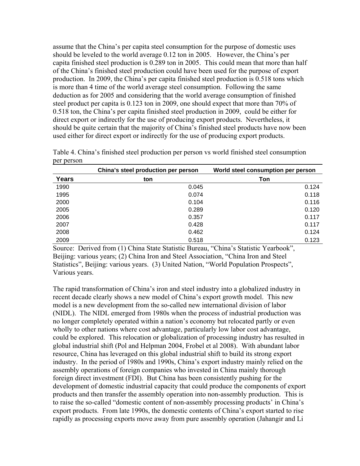assume that the China's per capita steel consumption for the purpose of domestic uses should be leveled to the world average 0.12 ton in 2005. However, the China's per capita finished steel production is 0.289 ton in 2005. This could mean that more than half of the China's finished steel production could have been used for the purpose of export production. In 2009, the China's per capita finished steel production is 0.518 tons which is more than 4 time of the world average steel consumption. Following the same deduction as for 2005 and considering that the world average consumption of finished steel product per capita is 0.123 ton in 2009, one should expect that more than 70% of 0.518 ton, the China's per capita finished steel production in 2009, could be either for direct export or indirectly for the use of producing export products. Nevertheless, it should be quite certain that the majority of China's finished steel products have now been used either for direct export or indirectly for the use of producing export products.

|              | China's steel production per person | World steel consumption per person |
|--------------|-------------------------------------|------------------------------------|
| <b>Years</b> | ton                                 | <b>Ton</b>                         |
| 1990         | 0.045                               | 0.124                              |
| 1995         | 0.074                               | 0.118                              |
| 2000         | 0.104                               | 0.116                              |
| 2005         | 0.289                               | 0.120                              |
| 2006         | 0.357                               | 0.117                              |
| 2007         | 0.428                               | 0.117                              |
| 2008         | 0.462                               | 0.124                              |
| 2009         | 0.518                               | 0.123                              |

Table 4. China's finished steel production per person vs world finished steel consumption per person

Source: Derived from (1) China State Statistic Bureau, "China's Statistic Yearbook", Beijing: various years; (2) China Iron and Steel Association, "China Iron and Steel Statistics", Beijing: various years. (3) United Nation, "World Population Prospects", Various years.

The rapid transformation of China's iron and steel industry into a globalized industry in recent decade clearly shows a new model of China's export growth model. This new model is a new development from the so-called new international division of labor (NIDL). The NIDL emerged from 1980s when the process of industrial production was no longer completely operated within a nation's economy but relocated partly or even wholly to other nations where cost advantage, particularly low labor cost advantage, could be explored. This relocation or globalization of processing industry has resulted in global industrial shift (Pol and Helpman 2004, Frobel et al 2008). With abundant labor resource, China has leveraged on this global industrial shift to build its strong export industry. In the period of 1980s and 1990s, China's export industry mainly relied on the assembly operations of foreign companies who invested in China mainly thorough foreign direct investment (FDI). But China has been consistently pushing for the development of domestic industrial capacity that could produce the components of export products and then transfer the assembly operation into non-assembly production. This is to raise the so-called "domestic content of non-assembly processing products' in China's export products. From late 1990s, the domestic contents of China's export started to rise rapidly as processing exports move away from pure assembly operation (Jahangir and Li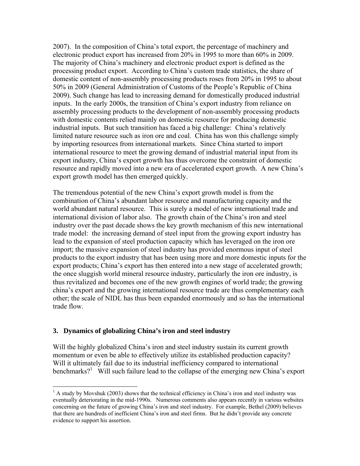2007). In the composition of China's total export, the percentage of machinery and electronic product export has increased from 20% in 1995 to more than 60% in 2009. The majority of China's machinery and electronic product export is defined as the processing product export. According to China's custom trade statistics, the share of domestic content of non-assembly processing products roses from 20% in 1995 to about 50% in 2009 (General Administration of Customs of the People's Republic of China 2009). Such change has lead to increasing demand for domestically produced industrial inputs. In the early 2000s, the transition of China's export industry from reliance on assembly processing products to the development of non-assembly processing products with domestic contents relied mainly on domestic resource for producing domestic industrial inputs. But such transition has faced a big challenge: China's relatively limited nature resource such as iron ore and coal. China has won this challenge simply by importing resources from international markets. Since China started to import international resource to meet the growing demand of industrial material input from its export industry, China's export growth has thus overcome the constraint of domestic resource and rapidly moved into a new era of accelerated export growth. A new China's export growth model has then emerged quickly.

The tremendous potential of the new China's export growth model is from the combination of China's abundant labor resource and manufacturing capacity and the world abundant natural resource. This is surely a model of new international trade and international division of labor also. The growth chain of the China's iron and steel industry over the past decade shows the key growth mechanism of this new international trade model: the increasing demand of steel input from the growing export industry has lead to the expansion of steel production capacity which has leveraged on the iron ore import; the massive expansion of steel industry has provided enormous input of steel products to the export industry that has been using more and more domestic inputs for the export products; China's export has then entered into a new stage of accelerated growth; the once sluggish world mineral resource industry, particularly the iron ore industry, is thus revitalized and becomes one of the new growth engines of world trade; the growing china's export and the growing international resource trade are thus complementary each other; the scale of NIDL has thus been expanded enormously and so has the international trade flow.

### **3. Dynamics of globalizing China's iron and steel industry**

 $\overline{a}$ 

Will the highly globalized China's iron and steel industry sustain its current growth momentum or even be able to effectively utilize its established production capacity? Will it ultimately fail due to its industrial inefficiency compared to international benchmarks?<sup>1</sup> Will such failure lead to the collapse of the emerging new China's export

 $<sup>1</sup>$  A study by Movshuk (2003) shows that the technical efficiency in China's iron and steel industry was</sup> eventually deteriorating in the mid-1990s. Numerous comments also appears recently in various websites concerning on the future of growing China's iron and steel industry. For example, Bethel (2009) believes that there are hundreds of inefficient China's iron and steel firms. But he didn't provide any concrete evidence to support his assertion.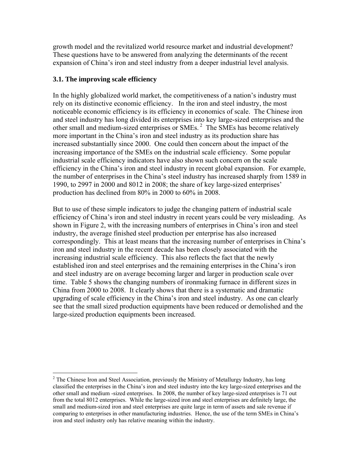growth model and the revitalized world resource market and industrial development? These questions have to be answered from analyzing the determinants of the recent expansion of China's iron and steel industry from a deeper industrial level analysis.

# **3.1. The improving scale efficiency**

 $\overline{a}$ 

In the highly globalized world market, the competitiveness of a nation's industry must rely on its distinctive economic efficiency. In the iron and steel industry, the most noticeable economic efficiency is its efficiency in economics of scale. The Chinese iron and steel industry has long divided its enterprises into key large-sized enterprises and the other small and medium-sized enterprises or SMEs. 2 The SMEs has become relatively more important in the China's iron and steel industry as its production share has increased substantially since 2000. One could then concern about the impact of the increasing importance of the SMEs on the industrial scale efficiency. Some popular industrial scale efficiency indicators have also shown such concern on the scale efficiency in the China's iron and steel industry in recent global expansion. For example, the number of enterprises in the China's steel industry has increased sharply from 1589 in 1990, to 2997 in 2000 and 8012 in 2008; the share of key large-sized enterprises' production has declined from 80% in 2000 to 60% in 2008.

But to use of these simple indicators to judge the changing pattern of industrial scale efficiency of China's iron and steel industry in recent years could be very misleading. As shown in Figure 2, with the increasing numbers of enterprises in China's iron and steel industry, the average finished steel production per enterprise has also increased correspondingly. This at least means that the increasing number of enterprises in China's iron and steel industry in the recent decade has been closely associated with the increasing industrial scale efficiency. This also reflects the fact that the newly established iron and steel enterprises and the remaining enterprises in the China's iron and steel industry are on average becoming larger and larger in production scale over time. Table 5 shows the changing numbers of ironmaking furnace in different sizes in China from 2000 to 2008. It clearly shows that there is a systematic and dramatic upgrading of scale efficiency in the China's iron and steel industry. As one can clearly see that the small sized production equipments have been reduced or demolished and the large-sized production equipments been increased.

 $2^2$  The Chinese Iron and Steel Association, previously the Ministry of Metallurgy Industry, has long classified the enterprises in the China's iron and steel industry into the key large-sized enterprises and the other small and medium -sized enterprises. In 2008, the number of key large-sized enterprises is 71 out from the total 8012 enterprises. While the large-sized iron and steel enterprises are definitely large, the small and medium-sized iron and steel enterprises are quite large in term of assets and sale revenue if comparing to enterprises in other manufacturing industries. Hence, the use of the term SMEs in China's iron and steel industry only has relative meaning within the industry.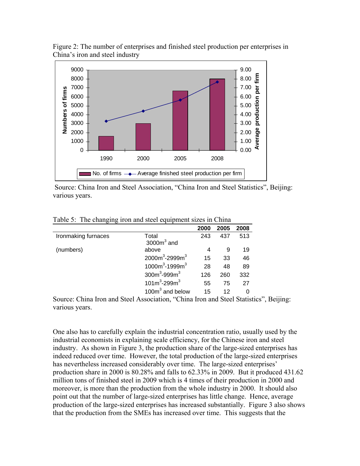

Figure 2: The number of enterprises and finished steel production per enterprises in China's iron and steel industry

 Source: China Iron and Steel Association, "China Iron and Steel Statistics", Beijing: various years.

| $\epsilon$          |                       |      |      |      |
|---------------------|-----------------------|------|------|------|
|                     |                       | 2000 | 2005 | 2008 |
| Ironmaking furnaces | Total<br>$3000m3$ and | 243  | 437  | 513  |
| (numbers)           | above                 | 4    | 9    | 19   |
|                     | $2000m^3 - 2999m^3$   | 15   | 33   | 46   |
|                     | $1000m^3 - 1999m^3$   | 28   | 48   | 89   |
|                     | $300m^3 - 999m^3$     | 126  | 260  | 332  |
|                     | $101m^3 - 299m^3$     | 55   | 75   | 27   |
|                     | 100 $m3$ and below    | 15   | 12   | Ω    |

Table 5: The changing iron and steel equipment sizes in China

Source: China Iron and Steel Association, "China Iron and Steel Statistics", Beijing: various years.

One also has to carefully explain the industrial concentration ratio, usually used by the industrial economists in explaining scale efficiency, for the Chinese iron and steel industry. As shown in Figure 3, the production share of the large-sized enterprises has indeed reduced over time. However, the total production of the large-sized enterprises has nevertheless increased considerably over time. The large-sized enterprises' production share in 2000 is 80.28% and falls to 62.33% in 2009. But it produced 431.62 million tons of finished steel in 2009 which is 4 times of their production in 2000 and moreover, is more than the production from the whole industry in 2000. It should also point out that the number of large-sized enterprises has little change. Hence, average production of the large-sized enterprises has increased substantially. Figure 3 also shows that the production from the SMEs has increased over time. This suggests that the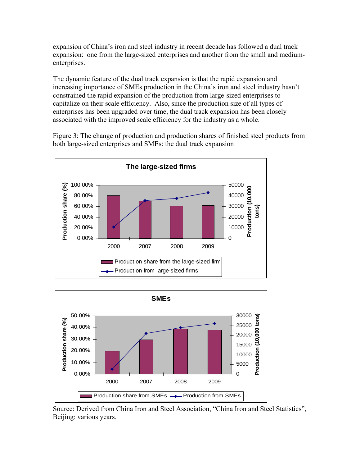expansion of China's iron and steel industry in recent decade has followed a dual track expansion: one from the large-sized enterprises and another from the small and mediumenterprises.

The dynamic feature of the dual track expansion is that the rapid expansion and increasing importance of SMEs production in the China's iron and steel industry hasn't constrained the rapid expansion of the production from large-sized enterprises to capitalize on their scale efficiency. Also, since the production size of all types of enterprises has been upgraded over time, the dual track expansion has been closely associated with the improved scale efficiency for the industry as a whole.

Figure 3: The change of production and production shares of finished steel products from both large-sized enterprises and SMEs: the dual track expansion





 Source: Derived from China Iron and Steel Association, "China Iron and Steel Statistics", Beijing: various years.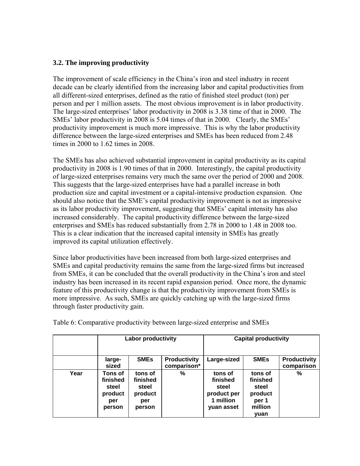# **3.2. The improving productivity**

The improvement of scale efficiency in the China's iron and steel industry in recent decade can be clearly identified from the increasing labor and capital productivities from all different-sized enterprises, defined as the ratio of finished steel product (ton) per person and per 1 million assets. The most obvious improvement is in labor productivity. The large-sized enterprises' labor productivity in 2008 is 3.38 time of that in 2000. The SMEs' labor productivity in 2008 is 5.04 times of that in 2000. Clearly, the SMEs' productivity improvement is much more impressive. This is why the labor productivity difference between the large-sized enterprises and SMEs has been reduced from 2.48 times in 2000 to 1.62 times in 2008.

The SMEs has also achieved substantial improvement in capital productivity as its capital productivity in 2008 is 1.90 times of that in 2000. Interestingly, the capital productivity of large-sized enterprises remains very much the same over the period of 2000 and 2008. This suggests that the large-sized enterprises have had a parallel increase in both production size and capital investment or a capital-intensive production expansion. One should also notice that the SME's capital productivity improvement is not as impressive as its labor productivity improvement, suggesting that SMEs' capital intensity has also increased considerably. The capital productivity difference between the large-sized enterprises and SMEs has reduced substantially from 2.78 in 2000 to 1.48 in 2008 too. This is a clear indication that the increased capital intensity in SMEs has greatly improved its capital utilization effectively.

Since labor productivities have been increased from both large-sized enterprises and SMEs and capital productivity remains the same from the large-sized firms but increased from SMEs, it can be concluded that the overall productivity in the China's iron and steel industry has been increased in its recent rapid expansion period. Once more, the dynamic feature of this productivity change is that the productivity improvement from SMEs is more impressive. As such, SMEs are quickly catching up with the large-sized firms through faster productivity gain.

|      | <b>Labor productivity</b>                                |                                                          |                                    | <b>Capital productivity</b>                                            |                                                                     |                                   |
|------|----------------------------------------------------------|----------------------------------------------------------|------------------------------------|------------------------------------------------------------------------|---------------------------------------------------------------------|-----------------------------------|
|      | large-<br>sized                                          | <b>SME<sub>s</sub></b>                                   | <b>Productivity</b><br>comparison* | Large-sized                                                            | <b>SMEs</b>                                                         | <b>Productivity</b><br>comparison |
| Year | Tons of<br>finished<br>steel<br>product<br>per<br>person | tons of<br>finished<br>steel<br>product<br>per<br>person | %                                  | tons of<br>finished<br>steel<br>product per<br>1 million<br>yuan asset | tons of<br>finished<br>steel<br>product<br>per 1<br>million<br>yuan | $\%$                              |

Table 6: Comparative productivity between large-sized enterprise and SMEs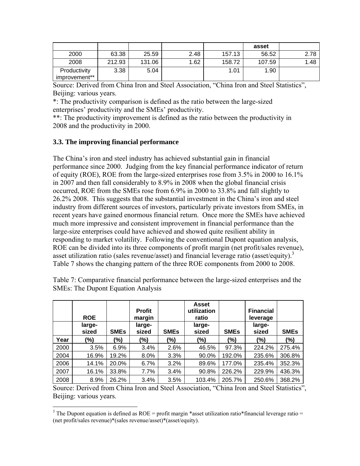|                               |        |        |      |        | asset  |      |
|-------------------------------|--------|--------|------|--------|--------|------|
| 2000                          | 63.38  | 25.59  | 2.48 | 157.13 | 56.52  | 2.78 |
| 2008                          | 212.93 | 131.06 | 1.62 | 158.72 | 107.59 | 1.48 |
| Productivity<br>improvement** | 3.38   | 5.04   |      | 1.01   | 1.90   |      |

Source: Derived from China Iron and Steel Association, "China Iron and Steel Statistics", Beijing: various years.

\*: The productivity comparison is defined as the ratio between the large-sized enterprises' productivity and the SMEs' productivity.

\*\*: The productivity improvement is defined as the ratio between the productivity in 2008 and the productivity in 2000.

## **3.3. The improving financial performance**

 $\overline{a}$ 

The China's iron and steel industry has achieved substantial gain in financial performance since 2000. Judging from the key financial performance indicator of return of equity (ROE), ROE from the large-sized enterprises rose from 3.5% in 2000 to 16.1% in 2007 and then fall considerably to 8.9% in 2008 when the global financial crisis occurred, ROE from the SMEs rose from 6.9% in 2000 to 33.8% and fall slightly to 26.2% 2008. This suggests that the substantial investment in the China's iron and steel industry from different sources of investors, particularly private investors from SMEs, in recent years have gained enormous financial return. Once more the SMEs have achieved much more impressive and consistent improvement in financial performance than the large-size enterprises could have achieved and showed quite resilient ability in responding to market volatility. Following the conventional Dupont equation analysis, ROE can be divided into its three components of profit margin (net profit/sales revenue), asset utilization ratio (sales revenue/asset) and financial leverage ratio (asset/equity).<sup>3</sup> Table 7 shows the changing pattern of the three ROE components from 2000 to 2008.

|      | <b>ROE</b><br>large- |             | <b>Profit</b><br>margin<br>large- |             | <b>Asset</b><br>utilization<br>ratio<br>large- |             | <b>Financial</b><br>leverage<br>large- |             |
|------|----------------------|-------------|-----------------------------------|-------------|------------------------------------------------|-------------|----------------------------------------|-------------|
|      | sized                | <b>SMEs</b> | sized                             | <b>SMEs</b> | sized                                          | <b>SMEs</b> | sized                                  | <b>SMEs</b> |
| Year | (%)                  | (%)         | $(\%)$                            | $(\%)$      | $(\%)$                                         | $(\%)$      | (%)                                    | (%)         |
| 2000 | 3.5%                 | 6.9%        | 3.4%                              | 2.6%        | 46.5%                                          | 97.3%       | 224.2%                                 | 275.4%      |
| 2004 | 16.9%                | 19.2%       | 8.0%                              | 3.3%        | 90.0%                                          | 192.0%      | 235.6%                                 | 306.8%      |
| 2006 | 14.1%                | 20.0%       | 6.7%                              | 3.2%        | 89.6%                                          | 177.0%      | 235.4%                                 | 352.3%      |
| 2007 | 16.1%                | 33.8%       | 7.7%                              | 3.4%        | 90.8%                                          | 226.2%      | 229.9%                                 | 436.3%      |
| 2008 | 8.9%                 | 26.2%       | 3.4%                              | 3.5%        | 103.4%                                         | 205.7%      | 250.6%                                 | 368.2%      |

Table 7: Comparative financial performance between the large-sized enterprises and the SMEs: The Dupont Equation Analysis

Source: Derived from China Iron and Steel Association, "China Iron and Steel Statistics", Beijing: various years.

<sup>&</sup>lt;sup>3</sup> The Dupont equation is defined as ROE = profit margin \*asset utilization ratio \*financial leverage ratio = (net profit/sales revenue)\*(sales revenue/asset)\*(asset/equity).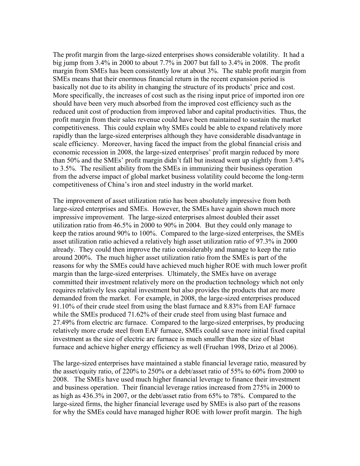The profit margin from the large-sized enterprises shows considerable volatility. It had a big jump from 3.4% in 2000 to about 7.7% in 2007 but fall to 3.4% in 2008. The profit margin from SMEs has been consistently low at about 3%. The stable profit margin from SMEs means that their enormous financial return in the recent expansion period is basically not due to its ability in changing the structure of its products' price and cost. More specifically, the increases of cost such as the rising input price of imported iron ore should have been very much absorbed from the improved cost efficiency such as the reduced unit cost of production from improved labor and capital productivities. Thus, the profit margin from their sales revenue could have been maintained to sustain the market competitiveness. This could explain why SMEs could be able to expand relatively more rapidly than the large-sized enterprises although they have considerable disadvantage in scale efficiency. Moreover, having faced the impact from the global financial crisis and economic recession in 2008, the large-sized enterprises' profit margin reduced by more than 50% and the SMEs' profit margin didn't fall but instead went up slightly from 3.4% to 3.5%. The resilient ability from the SMEs in immunizing their business operation from the adverse impact of global market business volatility could become the long-term competitiveness of China's iron and steel industry in the world market.

The improvement of asset utilization ratio has been absolutely impressive from both large-sized enterprises and SMEs. However, the SMEs have again shown much more impressive improvement. The large-sized enterprises almost doubled their asset utilization ratio from 46.5% in 2000 to 90% in 2004. But they could only manage to keep the ratios around 90% to 100%. Compared to the large-sized enterprises, the SMEs asset utilization ratio achieved a relatively high asset utilization ratio of 97.3% in 2000 already. They could then improve the ratio considerably and manage to keep the ratio around 200%. The much higher asset utilization ratio from the SMEs is part of the reasons for why the SMEs could have achieved much higher ROE with much lower profit margin than the large-sized enterprises. Ultimately, the SMEs have on average committed their investment relatively more on the production technology which not only requires relatively less capital investment but also provides the products that are more demanded from the market. For example, in 2008, the large-sized enterprises produced 91.10% of their crude steel from using the blast furnace and 8.83% from EAF furnace while the SMEs produced 71.62% of their crude steel from using blast furnace and 27.49% from electric arc furnace. Compared to the large-sized enterprises, by producing relatively more crude steel from EAF furnace, SMEs could save more initial fixed capital investment as the size of electric arc furnace is much smaller than the size of blast furnace and achieve higher energy efficiency as well (Fruehan 1998, Drizo et al 2006).

The large-sized enterprises have maintained a stable financial leverage ratio, measured by the asset/equity ratio, of 220% to 250% or a debt/asset ratio of 55% to 60% from 2000 to 2008. The SMEs have used much higher financial leverage to finance their investment and business operation. Their financial leverage ratios increased from 275% in 2000 to as high as 436.3% in 2007, or the debt/asset ratio from 65% to 78%. Compared to the large-sized firms, the higher financial leverage used by SMEs is also part of the reasons for why the SMEs could have managed higher ROE with lower profit margin. The high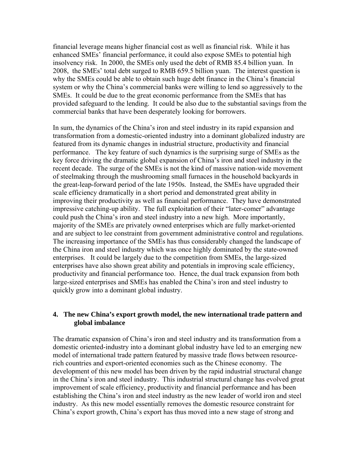financial leverage means higher financial cost as well as financial risk. While it has enhanced SMEs' financial performance, it could also expose SMEs to potential high insolvency risk. In 2000, the SMEs only used the debt of RMB 85.4 billion yuan. In 2008, the SMEs' total debt surged to RMB 659.5 billion yuan. The interest question is why the SMEs could be able to obtain such huge debt finance in the China's financial system or why the China's commercial banks were willing to lend so aggressively to the SMEs. It could be due to the great economic performance from the SMEs that has provided safeguard to the lending. It could be also due to the substantial savings from the commercial banks that have been desperately looking for borrowers.

In sum, the dynamics of the China's iron and steel industry in its rapid expansion and transformation from a domestic-oriented industry into a dominant globalized industry are featured from its dynamic changes in industrial structure, productivity and financial performance. The key feature of such dynamics is the surprising surge of SMEs as the key force driving the dramatic global expansion of China's iron and steel industry in the recent decade. The surge of the SMEs is not the kind of massive nation-wide movement of steelmaking through the mushrooming small furnaces in the household backyards in the great-leap-forward period of the late 1950s. Instead, the SMEs have upgraded their scale efficiency dramatically in a short period and demonstrated great ability in improving their productivity as well as financial performance. They have demonstrated impressive catching-up ability. The full exploitation of their "later-comer" advantage could push the China's iron and steel industry into a new high. More importantly, majority of the SMEs are privately owned enterprises which are fully market-oriented and are subject to lee constraint from government administrative control and regulations. The increasing importance of the SMEs has thus considerably changed the landscape of the China iron and steel industry which was once highly dominated by the state-owned enterprises. It could be largely due to the competition from SMEs, the large-sized enterprises have also shown great ability and potentials in improving scale efficiency, productivity and financial performance too. Hence, the dual track expansion from both large-sized enterprises and SMEs has enabled the China's iron and steel industry to quickly grow into a dominant global industry.

### **4. The new China's export growth model, the new international trade pattern and global imbalance**

The dramatic expansion of China's iron and steel industry and its transformation from a domestic oriented-industry into a dominant global industry have led to an emerging new model of international trade pattern featured by massive trade flows between resourcerich countries and export-oriented economies such as the Chinese economy. The development of this new model has been driven by the rapid industrial structural change in the China's iron and steel industry. This industrial structural change has evolved great improvement of scale efficiency, productivity and financial performance and has been establishing the China's iron and steel industry as the new leader of world iron and steel industry. As this new model essentially removes the domestic resource constraint for China's export growth, China's export has thus moved into a new stage of strong and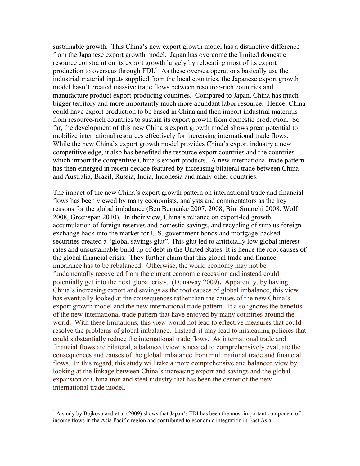sustainable growth. This China's new export growth model has a distinctive difference from the Japanese export growth model. Japan has overcome the limited domestic resource constraint on its export growth largely by relocating most of its export production to overseas through FDI.<sup>4</sup> As these oversea operations basically use the industrial material inputs supplied from the local countries, the Japanese export growth model hasn't created massive trade flows between resource-rich countries and manufacture product export-producing countries. Compared to Japan, China has much bigger territory and more importantly much more abundant labor resource. Hence, China could have export production to be based in China and then import industrial materials from resource-rich countries to sustain its export growth from domestic production. So far, the development of this new China's export growth model shows great potential to mobilize international resources effectively for increasing international trade flows. While the new China's export growth model provides China's export industry a new competitive edge, it also has benefited the resource export countries and the countries which import the competitive China's export products. A new international trade pattern has then emerged in recent decade featured by increasing bilateral trade between China and Australia, Brazil, Russia, India, Indonesia and many other countries.

The impact of the new China's export growth pattern on international trade and financial flows has been viewed by many economists, analysts and commentators as the key reasons for the global imbalance (Ben Bernanke 2007, 2008, Bini Smarghi 2008, Wolf 2008, Greenspan 2010). In their view, China's reliance on export-led growth, accumulation of foreign reserves and domestic savings, and recycling of surplus foreign exchange back into the market for U.S. government bonds and mortgage-backed securities created a "global savings glut". This glut led to artificially low global interest rates and unsustainable build up of debt in the United States. It is hence the root causes of the global financial crisis. They further claim that this global trade and finance imbalance has to be rebalanced. Otherwise, the world economy may not be fundamentally recovered from the current economic recession and instead could potentially get into the next global crisis. **(**Dunaway 2009)**.** Apparently, by having China's increasing export and savings as the root causes of global imbalance, this view has eventually looked at the consequences rather than the causes of the new China's export growth model and the new international trade pattern. It also ignores the benefits of the new international trade pattern that have enjoyed by many countries around the world. With these limitations, this view would not lead to effective measures that could resolve the problems of global imbalance. Instead, it may lead to misleading policies that could substantially reduce the international trade flows. As international trade and financial flows are bilateral, a balanced view is needed to comprehensively evaluate the consequences and causes of the global imbalance from multinational trade and financial flows. In this regard, this study will take a more comprehensive and balanced view by looking at the linkage between China's increasing export and savings and the global expansion of China iron and steel industry that has been the center of the new international trade model.

 $\overline{a}$ 

<sup>&</sup>lt;sup>4</sup> A study by Bojkova and et al (2009) shows that Japan's FDI has been the most important component of income flows in the Asia Pacific region and contributed to economic integration in East Asia.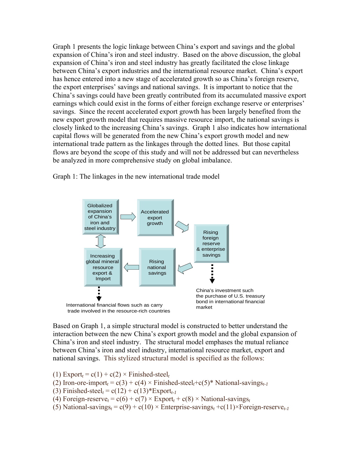Graph 1 presents the logic linkage between China's export and savings and the global expansion of China's iron and steel industry. Based on the above discussion, the global expansion of China's iron and steel industry has greatly facilitated the close linkage between China's export industries and the international resource market. China's export has hence entered into a new stage of accelerated growth so as China's foreign reserve, the export enterprises' savings and national savings. It is important to notice that the China's savings could have been greatly contributed from its accumulated massive export earnings which could exist in the forms of either foreign exchange reserve or enterprises' savings. Since the recent accelerated export growth has been largely benefited from the new export growth model that requires massive resource import, the national savings is closely linked to the increasing China's savings. Graph 1 also indicates how international capital flows will be generated from the new China's export growth model and new international trade pattern as the linkages through the dotted lines. But those capital flows are beyond the scope of this study and will not be addressed but can nevertheless be analyzed in more comprehensive study on global imbalance.

Graph 1: The linkages in the new international trade model



Based on Graph 1, a simple structural model is constructed to better understand the interaction between the new China's export growth model and the global expansion of China's iron and steel industry. The structural model emphases the mutual reliance between China's iron and steel industry, international resource market, export and national savings. This stylized structural model is specified as the follows:

- $(1)$  Export<sub>t</sub> = c(1) + c(2) × Finished-steel<sub>t</sub>
- (2) Iron-ore-import<sub>t</sub> =  $c(3) + c(4) \times$  Finished-steel<sub>t</sub>+c(5)<sup>\*</sup> National-savings<sub>t-1</sub>
- (3) Finished-steel<sub>t</sub> =  $c(12) + c(13)$ \*Export<sub>t-1</sub>
- (4) Foreign-reserve<sub>t</sub> =  $c(6) + c(7) \times$  Export<sub>t</sub> +  $c(8) \times$  National-savings<sub>t</sub>
- (5) National-savings<sub>t</sub> =  $c(9) + c(10) \times$  Enterprise-savings<sub>t</sub> +c(11)×Foreign-reserve<sub>t-1</sub>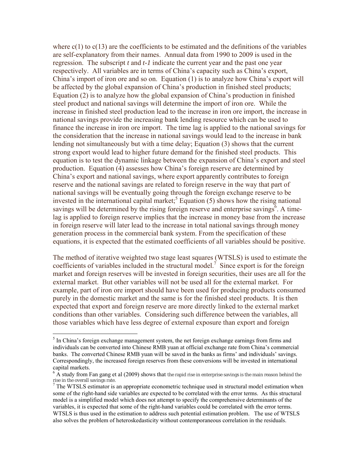where  $c(1)$  to  $c(13)$  are the coefficients to be estimated and the definitions of the variables are self-explanatory from their names. Annual data from 1990 to 2009 is used in the regression. The subscript *t* and *t-1* indicate the current year and the past one year respectively. All variables are in terms of China's capacity such as China's export, China's import of iron ore and so on. Equation (1) is to analyze how China's export will be affected by the global expansion of China's production in finished steel products; Equation (2) is to analyze how the global expansion of China's production in finished steel product and national savings will determine the import of iron ore. While the increase in finished steel production lead to the increase in iron ore import, the increase in national savings provide the increasing bank lending resource which can be used to finance the increase in iron ore import. The time lag is applied to the national savings for the consideration that the increase in national savings would lead to the increase in bank lending not simultaneously but with a time delay; Equation (3) shows that the current strong export would lead to higher future demand for the finished steel products. This equation is to test the dynamic linkage between the expansion of China's export and steel production. Equation (4) assesses how China's foreign reserve are determined by China's export and national savings, where export apparently contributes to foreign reserve and the national savings are related to foreign reserve in the way that part of national savings will be eventually going through the foreign exchange reserve to be invested in the international capital market;<sup>5</sup> Equation (5) shows how the rising national savings will be determined by the rising foreign reserve and enterprise savings $\delta$ . A timelag is applied to foreign reserve implies that the increase in money base from the increase in foreign reserve will later lead to the increase in total national savings through money generation process in the commercial bank system. From the specification of these equations, it is expected that the estimated coefficients of all variables should be positive.

The method of iterative weighted two stage least squares (WTSLS) is used to estimate the coefficients of variables included in the structural model.<sup>7</sup> Since export is for the foreign market and foreign reserves will be invested in foreign securities, their uses are all for the external market. But other variables will not be used all for the external market. For example, part of iron ore import should have been used for producing products consumed purely in the domestic market and the same is for the finished steel products. It is then expected that export and foreign reserve are more directly linked to the external market conditions than other variables. Considering such difference between the variables, all those variables which have less degree of external exposure than export and foreign

 $\overline{a}$ 

 $<sup>5</sup>$  In China's foreign exchange management system, the net foreign exchange earnings from firms and</sup> individuals can be converted into Chinese RMB yuan at official exchange rate from China's commercial banks. The converted Chinese RMB yuan will be saved in the banks as firms' and individuals' savings. Correspondingly, the increased foreign reserves from these conversions will be invested in international capital markets.

 $6 \text{ Å}$  study from Fan gang et al (2009) shows that the rapid rise in enterprise savings is the main reason behind the rise in the overall savings rate.

<sup>&</sup>lt;sup>7</sup> The WTSLS estimator is an appropriate econometric technique used in structural model estimation when some of the right-hand side variables are expected to be correlated with the error terms. As this structural model is a simplified model which does not attempt to specify the comprehensive determinants of the variables, it is expected that some of the right-hand variables could be correlated with the error terms. WTSLS is thus used in the estimation to address such potential estimation problem. The use of WTSLS also solves the problem of heteroskedasticity without contemporaneous correlation in the residuals.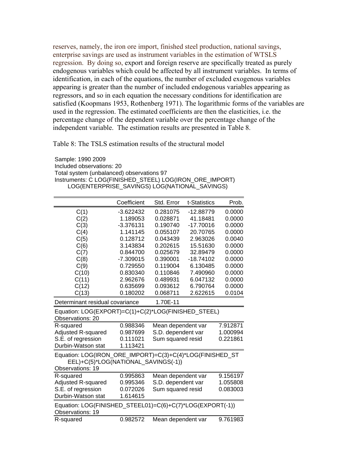reserves, namely, the iron ore import, finished steel production, national savings, enterprise savings are used as instrument variables in the estimation of WTSLS regression. By doing so, export and foreign reserve are specifically treated as purely endogenous variables which could be affected by all instrument variables. In terms of identification, in each of the equations, the number of excluded exogenous variables appearing is greater than the number of included endogenous variables appearing as regressors, and so in each equation the necessary conditions for identification are satisfied (Koopmans 1953, Rothenberg 1971). The logarithmic forms of the variables are used in the regression. The estimated coefficients are then the elasticities, i.e. the percentage change of the dependent variable over the percentage change of the independent variable. The estimation results are presented in Table 8.

Table 8: The TSLS estimation results of the structural model

Sample: 1990 2009 Included observations: 20 Total system (unbalanced) observations 97 Instruments: C LOG(FINISHED\_STEEL) LOG(IRON\_ORE\_IMPORT) LOG(ENTERPRISE\_SAVINGS) LOG(NATIONAL\_SAVINGS)

|                                                                                      | Coefficient | Std. Error         | t-Statistics | Prob.    |  |
|--------------------------------------------------------------------------------------|-------------|--------------------|--------------|----------|--|
| C(1)                                                                                 | $-3.622432$ | 0.281075           | -12.88779    | 0.0000   |  |
| C(2)                                                                                 | 1.189053    | 0.028871           | 41.18481     | 0.0000   |  |
| C(3)                                                                                 | $-3.376131$ | 0.190740           | $-17.70016$  | 0.0000   |  |
| C(4)                                                                                 | 1.141145    | 0.055107           | 20.70765     | 0.0000   |  |
| C(5)                                                                                 | 0.128712    | 0.043439           | 2.963026     | 0.0040   |  |
| C(6)                                                                                 | 3.143834    | 0.202615           | 15.51630     | 0.0000   |  |
| C(7)                                                                                 | 0.844700    | 0.025679           | 32.89479     | 0.0000   |  |
| C(8)                                                                                 | $-7.309015$ | 0.390001           | $-18.74102$  | 0.0000   |  |
| C(9)                                                                                 | 0.729550    | 0.119004           | 6.130485     | 0.0000   |  |
| C(10)                                                                                | 0.830340    | 0.110846           | 7.490960     | 0.0000   |  |
| C(11)                                                                                | 2.962676    | 0.489931           | 6.047132     | 0.0000   |  |
| C(12)                                                                                | 0.635699    | 0.093612           | 6.790764     | 0.0000   |  |
| C(13)                                                                                | 0.180202    | 0.068711           | 2.622615     | 0.0104   |  |
| Determinant residual covariance<br>1.70E-11                                          |             |                    |              |          |  |
| Equation: LOG(EXPORT)=C(1)+C(2)*LOG(FINISHED_STEEL)                                  |             |                    |              |          |  |
| Observations: 20                                                                     |             |                    |              |          |  |
| R-squared                                                                            | 0.988346    | Mean dependent var |              | 7.912871 |  |
| <b>Adjusted R-squared</b>                                                            | 0.987699    | S.D. dependent var |              | 1.000994 |  |
| S.E. of regression                                                                   | 0.111021    | Sum squared resid  |              | 0.221861 |  |
| Durbin-Watson stat                                                                   | 1.113421    |                    |              |          |  |
| Equation: LOG(IRON_ORE_IMPORT)=C(3)+C(4)*LOG(FINISHED_ST                             |             |                    |              |          |  |
| EEL)+C(5)*LOG(NATIONAL_SAVINGS(-1))                                                  |             |                    |              |          |  |
| Observations: 19                                                                     |             |                    |              |          |  |
| R-squared                                                                            | 0.995863    | Mean dependent var |              | 9.156197 |  |
| <b>Adjusted R-squared</b>                                                            | 0.995346    | S.D. dependent var |              | 1.055808 |  |
| S.E. of regression                                                                   | 0.072026    | Sum squared resid  |              | 0.083003 |  |
| Durbin-Watson stat                                                                   | 1.614615    |                    |              |          |  |
| Equation: LOG(FINISHED_STEEL01)=C(6)+C(7)*LOG(EXPORT(-1))<br><b>Observations: 19</b> |             |                    |              |          |  |
| R-squared                                                                            | 0.982572    | Mean dependent var |              | 9.761983 |  |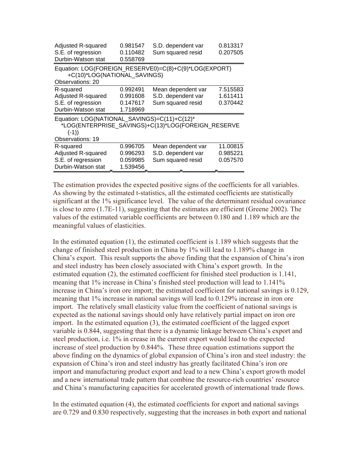| Adjusted R-squared<br>S.E. of regression<br>Durbin-Watson stat | 0.981547<br>0.110482<br>0.558769 | S.D. dependent var<br>Sum squared resid               | 0.813317<br>0.207505 |
|----------------------------------------------------------------|----------------------------------|-------------------------------------------------------|----------------------|
| +C(10)*LOG(NATIONAL_SAVINGS)<br>Observations: 20               |                                  | Equation: LOG(FOREIGN_RESERVE0)=C(8)+C(9)*LOG(EXPORT) |                      |
| R-squared                                                      | 0.992491                         | Mean dependent var                                    | 7.515583             |
| Adjusted R-squared                                             | 0.991608                         | S.D. dependent var                                    | 1.611411             |
| S.E. of regression                                             | 0.147617                         | Sum squared resid                                     | 0.370442             |
| Durbin-Watson stat                                             | 1.718969                         |                                                       |                      |
| Equation: LOG(NATIONAL_SAVINGS)=C(11)+C(12)*<br>$(-1)$         |                                  | *LOG(ENTERPRISE_SAVINGS)+C(13)*LOG(FOREIGN_RESERVE    |                      |
| <b>Observations: 19</b>                                        |                                  |                                                       |                      |
| R-squared                                                      | 0.996705                         | Mean dependent var                                    | 11.00815             |
| Adjusted R-squared                                             | 0.996293                         | S.D. dependent var                                    | 0.985221             |
| S.E. of regression                                             | 0.059985                         | Sum squared resid                                     | 0.057570             |
| Durbin-Watson stat                                             | 1.539456                         |                                                       |                      |

The estimation provides the expected positive signs of the coefficients for all variables. As showing by the estimated t-statistics, all the estimated coefficients are statistically significant at the 1% significance level. The value of the determinant residual covariance is close to zero (1.7E-11), suggesting that the estimates are efficient (Greene 2002). The values of the estimated variable coefficients are between 0.180 and 1.189 which are the meaningful values of elasticities.

In the estimated equation (1), the estimated coefficient is 1.189 which suggests that the change of finished steel production in China by 1% will lead to 1.189% change in China's export. This result supports the above finding that the expansion of China's iron and steel industry has been closely associated with China's export growth. In the estimated equation (2), the estimated coefficient for finished steel production is 1.141, meaning that 1% increase in China's finished steel production will lead to 1.141% increase in China's iron ore import; the estimated coefficient for national savings is 0.129, meaning that 1% increase in national savings will lead to 0.129% increase in iron ore import. The relatively small elasticity value from the coefficient of national savings is expected as the national savings should only have relatively partial impact on iron ore import. In the estimated equation (3), the estimated coefficient of the lagged export variable is 0.844, suggesting that there is a dynamic linkage between China's export and steel production, i.e. 1% in crease in the current export would lead to the expected increase of steel production by 0.844%. These three equation estimations support the above finding on the dynamics of global expansion of China's iron and steel industry: the expansion of China's iron and steel industry has greatly facilitated China's iron ore import and manufacturing product export and lead to a new China's export growth model and a new international trade pattern that combine the resource-rich countries' resource and China's manufacturing capacities for accelerated growth of international trade flows.

In the estimated equation (4), the estimated coefficients for export and national savings are 0.729 and 0.830 respectively, suggesting that the increases in both export and national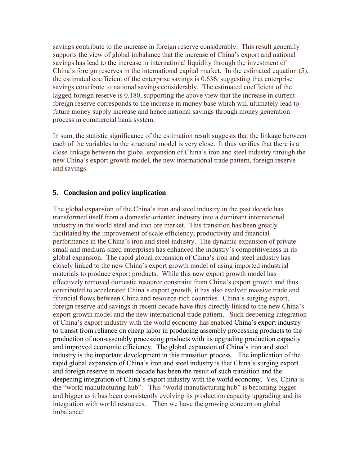savings contribute to the increase in foreign reserve considerably. This result generally supports the view of global imbalance that the increase of China's export and national savings has lead to the increase in international liquidity through the investment of China's foreign reserves in the international capital market. In the estimated equation (5), the estimated coefficient of the enterprise savings is 0.636, suggesting that enterprise savings contribute to national savings considerably. The estimated coefficient of the lagged foreign reserve is 0.180, supporting the above view that the increase in current foreign reserve corresponds to the increase in money base which will ultimately lead to future money supply increase and hence national savings through money generation process in commercial bank system.

In sum, the statistic significance of the estimation result suggests that the linkage between each of the variables in the structural model is very close. It thus verifies that there is a close linkage between the global expansion of China's iron and steel industry through the new China's export growth model, the new international trade pattern, foreign reserve and savings.

## **5. Conclusion and policy implication**

The global expansion of the China's iron and steel industry in the past decade has transformed itself from a domestic-oriented industry into a dominant international industry in the world steel and iron ore market. This transition has been greatly facilitated by the improvement of scale efficiency, productivity and financial performance in the China's iron and steel industry. The dynamic expansion of private small and medium-sized enterprises has enhanced the industry's competitiveness in its global expansion. The rapid global expansion of China's iron and steel industry has closely linked to the new China's export growth model of using imported industrial materials to produce export products. While this new export growth model has effectively removed domestic resource constraint from China's export growth and thus contributed to accelerated China's export growth, it has also evolved massive trade and financial flows between China and resource-rich countries. China's surging export, foreign reserve and savings in recent decade have thus directly linked to the new China's export growth model and the new international trade pattern. Such deepening integration of China's export industry with the world economy has enabled China's export industry to transit from reliance on cheap labor in producing assembly processing products to the production of non-assembly processing products with its upgrading production capacity and improved economic efficiency. The global expansion of China's iron and steel industry is the important development in this transition process. The implication of the rapid global expansion of China's iron and steel industry is that China's surging export and foreign reserve in recent decade has been the result of such transition and the deepening integration of China's export industry with the world economy. Yes, China is the "world manufacturing hub". This "world manufacturing hub" is becoming bigger and bigger as it has been consistently evolving its production capacity upgrading and its integration with world resources. Then we have the growing concern on global imbalance!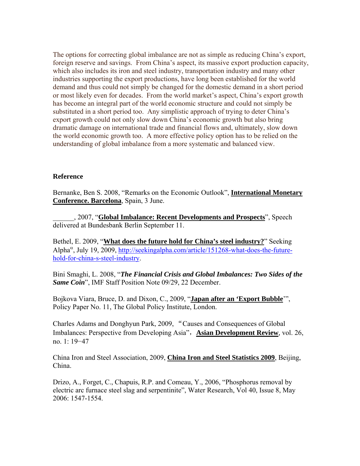The options for correcting global imbalance are not as simple as reducing China's export, foreign reserve and savings. From China's aspect, its massive export production capacity, which also includes its iron and steel industry, transportation industry and many other industries supporting the export productions, have long been established for the world demand and thus could not simply be changed for the domestic demand in a short period or most likely even for decades. From the world market's aspect, China's export growth has become an integral part of the world economic structure and could not simply be substituted in a short period too. Any simplistic approach of trying to deter China's export growth could not only slow down China's economic growth but also bring dramatic damage on international trade and financial flows and, ultimately, slow down the world economic growth too. A more effective policy option has to be relied on the understanding of global imbalance from a more systematic and balanced view.

### **Reference**

Bernanke, Ben S. 2008, "Remarks on the Economic Outlook", **International Monetary Conference. Barcelona**, Spain, 3 June.

\_\_\_\_\_\_, 2007, "**Global Imbalance: Recent Developments and Prospects**", Speech delivered at Bundesbank Berlin September 11.

Bethel, E. 2009, "**What does the future hold for China's steel industry?**" Seeking Alpha<sup>α</sup>, July 19, 2009, http://seekingalpha.com/article/151268-what-does-the-futurehold-for-china-s-steel-industry.

Bini Smaghi, L. 2008, "*The Financial Crisis and Global Imbalances: Two Sides of the Same Coin*", IMF Staff Position Note 09/29, 22 December.

Bojkova Viara, Bruce, D. and Dixon, C., 2009, "**Japan after an 'Export Bubble**'", Policy Paper No. 11, The Global Policy Institute, London.

Charles Adams and Donghyun Park, 2009, "Causes and Consequences of Global Imbalances: Perspective from Developing Asia", **Asian Development Review**, vol. 26, no. 1: 19−47

China Iron and Steel Association, 2009, **China Iron and Steel Statistics 2009**, Beijing, China.

Drizo, A., Forget, C., Chapuis, R.P. and Comeau, Y., 2006, "Phosphorus removal by electric arc furnace steel slag and serpentinite", Water Research, Vol 40, Issue 8, May 2006: 1547-1554.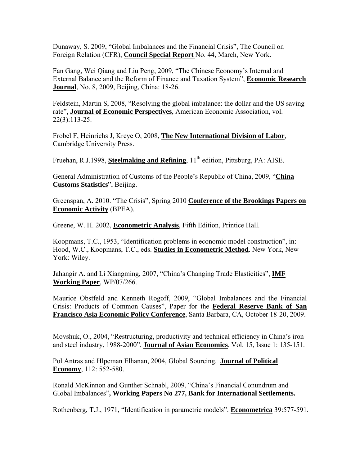Dunaway, S. 2009, "Global Imbalances and the Financial Crisis", The Council on Foreign Relation (CFR), **Council Special Report** No. 44, March, New York.

Fan Gang, Wei Qiang and Liu Peng, 2009, "The Chinese Economy's Internal and External Balance and the Reform of Finance and Taxation System", **Economic Research Journal**, No. 8, 2009, Beijing, China: 18-26.

Feldstein, Martin S, 2008, "Resolving the global imbalance: the dollar and the US saving rate", **Journal of Economic Perspectives**, American Economic Association, vol. 22(3):113-25.

Frobel F, Heinrichs J, Kreye O, 2008, **The New International Division of Labor**, Cambridge University Press.

Fruehan, R.J.1998, **Steelmaking and Refining**, 11<sup>th</sup> edition, Pittsburg, PA: AISE.

General Administration of Customs of the People's Republic of China, 2009, "**China Customs Statistics**", Beijing.

Greenspan, A. 2010. "The Crisis", Spring 2010 **Conference of the Brookings Papers on Economic Activity** (BPEA).

Greene, W. H. 2002, **Econometric Analysis**, Fifth Edition, Printice Hall.

Koopmans, T.C., 1953, "Identification problems in economic model construction", in: Hood, W.C., Koopmans, T.C., eds. **Studies in Econometric Method**. New York, New York: Wiley.

Jahangir A. and Li Xiangming, 2007, "China's Changing Trade Elasticities", **IMF Working Paper**, WP/07/266.

Maurice Obstfeld and Kenneth Rogoff, 2009, "Global Imbalances and the Financial Crisis: Products of Common Causes", Paper for the **Federal Reserve Bank of San Francisco Asia Economic Policy Conference**, Santa Barbara, CA, October 18-20, 2009.

Movshuk, O., 2004, "Restructuring, productivity and technical efficiency in China's iron and steel industry, 1988-2000", **Journal of Asian Economics**, Vol. 15, Issue 1: 135-151.

Pol Antras and Hlpeman Elhanan, 2004, Global Sourcing. **Journal of Political Economy**, 112: 552-580.

Ronald McKinnon and Gunther Schnabl, 2009, "China's Financial Conundrum and Global Imbalances"**, Working Papers No 277, Bank for International Settlements.** 

Rothenberg, T.J., 1971, "Identification in parametric models". **Econometrica** 39:577-591.